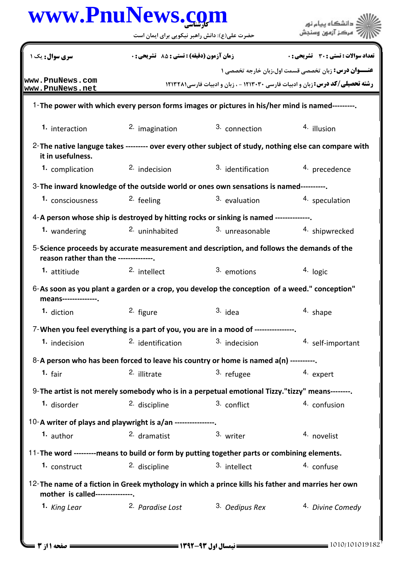## كارشناسي **[www.PnuNews.com](http://www.PnuNews.com)**

|                                                                                                                                         | حضرت علی(ع): دانش راهبر نیکویی برای ایمان است    |                                                                                        |                                                             |  |  |
|-----------------------------------------------------------------------------------------------------------------------------------------|--------------------------------------------------|----------------------------------------------------------------------------------------|-------------------------------------------------------------|--|--|
| سری سوال: یک ۱                                                                                                                          | <b>زمان آزمون (دقیقه) : تستی : 85 تشریحی : 0</b> |                                                                                        | <b>تعداد سوالات : تستی : 30 ٪ تشریحی : 0</b>                |  |  |
| www.PnuNews.com<br>www.PnuNews.net                                                                                                      |                                                  | <b>رشته تحصیلی/کد درس:</b> زبان و ادبیات فارسی ۱۲۱۳۰۳۰ - ، زبان و ادبیات فارسی ۱۲۱۳۲۸۱ | <b>عنـــوان درس:</b> زبان تخصصی قسمت اول،زبان خارجه تخصصی ۱ |  |  |
| 1-The power with which every person forms images or pictures in his/her mind is named---------.                                         |                                                  |                                                                                        |                                                             |  |  |
| 1. interaction                                                                                                                          | 2. imagination                                   | 3. connection                                                                          | 4. illusion                                                 |  |  |
| 2-The native languge takes --------- over every other subject of study, nothing else can compare with<br>it in usefulness.              |                                                  |                                                                                        |                                                             |  |  |
| 1. complication                                                                                                                         | <sup>2.</sup> indecision                         | 3. identification                                                                      | 4. precedence                                               |  |  |
| 3-The inward knowledge of the outside world or ones own sensations is named----------.                                                  |                                                  |                                                                                        |                                                             |  |  |
| 1. consciousness                                                                                                                        | <sup>2.</sup> feeling                            | 3. evaluation                                                                          | 4. speculation                                              |  |  |
| 4-A person whose ship is destroyed by hitting rocks or sinking is named --------------.                                                 |                                                  |                                                                                        |                                                             |  |  |
| 1. wandering                                                                                                                            | 2. uninhabited                                   | 3. unreasonable                                                                        | 4. shipwrecked                                              |  |  |
| 5-Science proceeds by accurate measurement and description, and follows the demands of the<br>reason rather than the -------------.     |                                                  |                                                                                        |                                                             |  |  |
| 1. attitiude                                                                                                                            | 2. intellect                                     | 3. emotions                                                                            | 4. logic                                                    |  |  |
| 6-As soon as you plant a garden or a crop, you develop the conception of a weed." conception"<br>means--------------.                   |                                                  |                                                                                        |                                                             |  |  |
| 1. diction                                                                                                                              | 2. figure                                        | $3.$ idea                                                                              | 4. shape                                                    |  |  |
| 7-When you feel everything is a part of you, you are in a mood of ---------------                                                       |                                                  |                                                                                        |                                                             |  |  |
| 1. indecision                                                                                                                           | <sup>2.</sup> identification                     | 3. indecision                                                                          | 4. self-important                                           |  |  |
| 8-A person who has been forced to leave his country or home is named a(n) ---------.                                                    |                                                  |                                                                                        |                                                             |  |  |
| 1. fair                                                                                                                                 | 2. illitrate                                     | 3. refugee                                                                             | 4. expert                                                   |  |  |
| 9- The artist is not merely somebody who is in a perpetual emotional Tizzy."tizzy" means--------.                                       |                                                  |                                                                                        |                                                             |  |  |
| 1. disorder                                                                                                                             | 2. discipline                                    | 3. conflict                                                                            | 4. confusion                                                |  |  |
| 10-A writer of plays and playwright is a/an ----------------.                                                                           |                                                  |                                                                                        |                                                             |  |  |
| <sup>1.</sup> author                                                                                                                    | 2. dramatist                                     | 3. writer                                                                              | 4. novelist                                                 |  |  |
| 11-The word ---------means to build or form by putting together parts or combining elements.                                            |                                                  |                                                                                        |                                                             |  |  |
| 1. construct                                                                                                                            | 2. discipline                                    | 3. intellect                                                                           | 4. confuse                                                  |  |  |
| 12- The name of a fiction in Greek mythology in which a prince kills his father and marries her own<br>mother is called---------------. |                                                  |                                                                                        |                                                             |  |  |
| 1. King Lear                                                                                                                            | 2. Paradise Lost                                 | 3. Oedipus Rex                                                                         | 4. Divine Comedy                                            |  |  |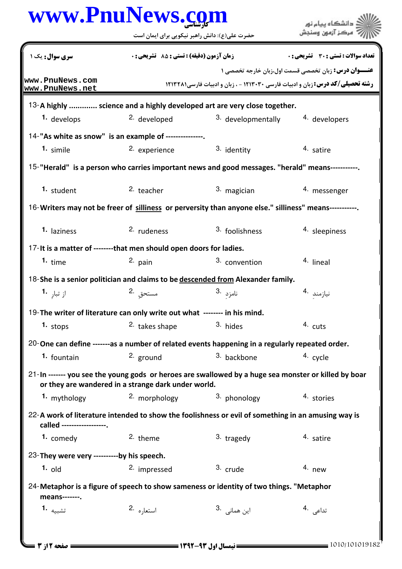|                                            | www.PnuNews.com                                                           |                                                                                                       | دانشگاه پیام نور                                     |
|--------------------------------------------|---------------------------------------------------------------------------|-------------------------------------------------------------------------------------------------------|------------------------------------------------------|
|                                            | حضرت علی(ع): دانش راهبر نیکویی برای ایمان است                             |                                                                                                       | مركز آزمون وسنجش                                     |
| <b>سری سوال :</b> یک ۱                     | زمان آزمون (دقيقه) : تستى : 55 ٪ تشريحي : 0                               |                                                                                                       | تعداد سوالات : تستي : 30 - تشريحي : 0                |
| www.PnuNews.com<br>www.PnuNews.net         |                                                                           | <b>رشته تحصیلی/کد درس: زبان و ادبیات فارسی 1۲۱۳۰۳۰ - ، زبان و ادبیات فارسی ۱۲۱۳۲۸۱</b>                | عنـــوان درس: زبان تخصصی قسمت اول،زبان خارجه تخصصی ۱ |
|                                            |                                                                           | 13-A highly  science and a highly developed art are very close together.                              |                                                      |
| 1. develops                                | <sup>2.</sup> developed                                                   | 3. developmentally                                                                                    | 4. developers                                        |
|                                            | 14-"As white as snow" is an example of ---------------                    |                                                                                                       |                                                      |
| 1. simile                                  | 2. experience                                                             | 3. identity                                                                                           | 4. satire                                            |
|                                            |                                                                           | 15-"Herald" is a person who carries important news and good messages. "herald" means-----------       |                                                      |
| 1. student                                 | 2. teacher                                                                | 3. magician                                                                                           | 4. messenger                                         |
|                                            |                                                                           | 16-Writers may not be freer of silliness or perversity than anyone else." silliness" means----------- |                                                      |
| 1. laziness                                | 2. rudeness                                                               | 3. foolishness                                                                                        | 4. sleepiness                                        |
|                                            | 17-It is a matter of --------that men should open doors for ladies.       |                                                                                                       |                                                      |
| 1. time                                    | 2. pain                                                                   | 3. convention                                                                                         | 4. lineal                                            |
|                                            |                                                                           | 18-She is a senior politician and claims to be descended from Alexander family.                       |                                                      |
| از تبار <b>1</b> ۰                         | مستحق 2.                                                                  | نامزد .3                                                                                              | نيازمند 4.                                           |
|                                            | 19-The writer of literature can only write out what -------- in his mind. |                                                                                                       |                                                      |
| $1.$ stops                                 | <sup>2.</sup> takes shape                                                 | 3. hides                                                                                              | 4. cuts                                              |
|                                            |                                                                           | 20-One can define -------as a number of related events happening in a regularly repeated order.       |                                                      |
| 1. fountain                                | 2. ground                                                                 | 3. backbone                                                                                           | 4. cycle                                             |
|                                            | or they are wandered in a strange dark under world.                       | 21-In ------- you see the young gods or heroes are swallowed by a huge sea monster or killed by boar  |                                                      |
| 1. mythology                               | 2. morphology                                                             | 3. phonology                                                                                          | 4. stories                                           |
| called ------------------.                 |                                                                           | 22-A work of literature intended to show the foolishness or evil of something in an amusing way is    |                                                      |
| 1. comedy                                  | 2. theme                                                                  | $3.$ tragedy                                                                                          | 4. satire                                            |
| 23-They were very ----------by his speech. |                                                                           |                                                                                                       |                                                      |
| $1.$ old                                   | 2. impressed                                                              | 3. crude                                                                                              | $4.$ new                                             |
| means-------.                              |                                                                           | 24-Metaphor is a figure of speech to show sameness or identity of two things. "Metaphor               |                                                      |
| تشبيه <b>1.</b>                            | استعاره 2.                                                                | این همانی   .3                                                                                        | تداعی .4                                             |